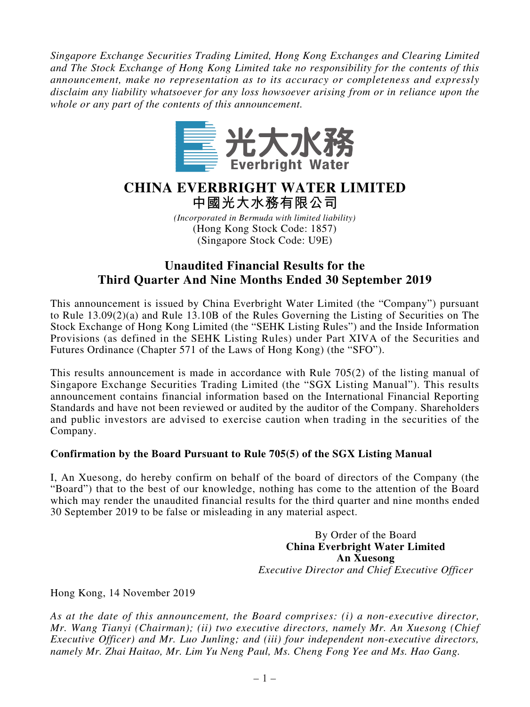*Singapore Exchange Securities Trading Limited, Hong Kong Exchanges and Clearing Limited and The Stock Exchange of Hong Kong Limited take no responsibility for the contents of this announcement, make no representation as to its accuracy or completeness and expressly disclaim any liability whatsoever for any loss howsoever arising from or in reliance upon the whole or any part of the contents of this announcement.*



# **CHINA EVERBRIGHT WATER LIMITED 中國光大水務有限公司**

*(Incorporated in Bermuda with limited liability)* (Hong Kong Stock Code: 1857) (Singapore Stock Code: U9E)

# **Unaudited Financial Results for the Third Quarter And Nine Months Ended 30 September 2019**

This announcement is issued by China Everbright Water Limited (the "Company") pursuant to Rule 13.09(2)(a) and Rule 13.10B of the Rules Governing the Listing of Securities on The Stock Exchange of Hong Kong Limited (the "SEHK Listing Rules") and the Inside Information Provisions (as defined in the SEHK Listing Rules) under Part XIVA of the Securities and Futures Ordinance (Chapter 571 of the Laws of Hong Kong) (the "SFO").

This results announcement is made in accordance with Rule 705(2) of the listing manual of Singapore Exchange Securities Trading Limited (the "SGX Listing Manual"). This results announcement contains financial information based on the International Financial Reporting Standards and have not been reviewed or audited by the auditor of the Company. Shareholders and public investors are advised to exercise caution when trading in the securities of the Company.

### **Confirmation by the Board Pursuant to Rule 705(5) of the SGX Listing Manual**

I, An Xuesong, do hereby confirm on behalf of the board of directors of the Company (the "Board") that to the best of our knowledge, nothing has come to the attention of the Board which may render the unaudited financial results for the third quarter and nine months ended 30 September 2019 to be false or misleading in any material aspect.

> By Order of the Board **China Everbright Water Limited An Xuesong** *Executive Director and Chief Executive Officer*

Hong Kong, 14 November 2019

*As at the date of this announcement, the Board comprises: (i) a non-executive director, Mr. Wang Tianyi (Chairman); (ii) two executive directors, namely Mr. An Xuesong (Chief Executive Officer) and Mr. Luo Junling; and (iii) four independent non-executive directors, namely Mr. Zhai Haitao, Mr. Lim Yu Neng Paul, Ms. Cheng Fong Yee and Ms. Hao Gang.*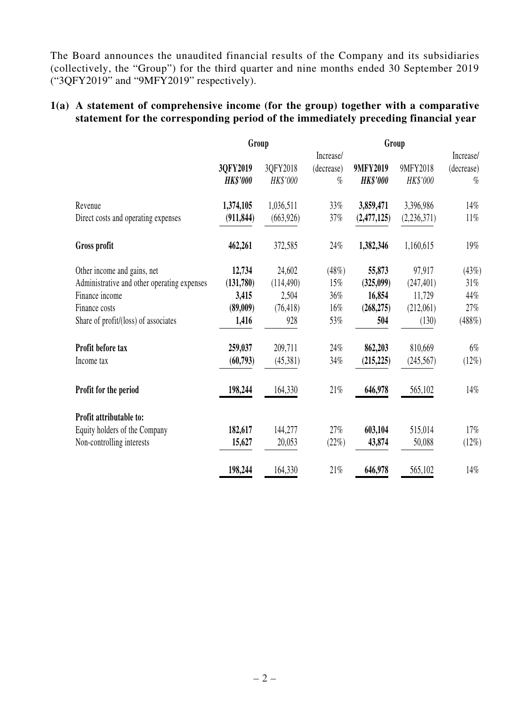The Board announces the unaudited financial results of the Company and its subsidiaries (collectively, the "Group") for the third quarter and nine months ended 30 September 2019 ("3QFY2019" and "9MFY2019" respectively).

#### **1(a) A statement of comprehensive income (for the group) together with a comparative statement for the corresponding period of the immediately preceding financial year**

|                                             | Group           |            |            |                 |             |            |  |
|---------------------------------------------|-----------------|------------|------------|-----------------|-------------|------------|--|
|                                             |                 |            | Increase/  |                 |             | Increase/  |  |
|                                             | 3QFY2019        | 3QFY2018   | (decrease) | 9MFY2019        | 9MFY2018    | (decrease) |  |
|                                             | <b>HK\$'000</b> | HK\$'000   | $\%$       | <b>HK\$'000</b> | HK\$'000    | $\%$       |  |
| Revenue                                     | 1,374,105       | 1,036,511  | 33%        | 3,859,471       | 3,396,986   | 14%        |  |
| Direct costs and operating expenses         | (911, 844)      | (663, 926) | 37%        | (2,477,125)     | (2,236,371) | $11\%$     |  |
| Gross profit                                | 462,261         | 372,585    | 24%        | 1,382,346       | 1,160,615   | 19%        |  |
| Other income and gains, net                 | 12,734          | 24,602     | (48%)      | 55,873          | 97,917      | (43%)      |  |
| Administrative and other operating expenses | (131,780)       | (114, 490) | 15%        | (325,099)       | (247, 401)  | 31%        |  |
| Finance income                              | 3,415           | 2,504      | 36%        | 16,854          | 11,729      | 44%        |  |
| Finance costs                               | (89,009)        | (76, 418)  | 16%        | (268, 275)      | (212,061)   | 27%        |  |
| Share of profit/(loss) of associates        | 1,416           | 928        | 53%        | 504             | (130)       | (488%)     |  |
| Profit before tax                           | 259,037         | 209,711    | 24%        | 862,203         | 810,669     | $6\%$      |  |
| Income tax                                  | (60,793)        | (45,381)   | 34%        | (215, 225)      | (245, 567)  | (12%)      |  |
| Profit for the period                       | 198,244         | 164,330    | $21\%$     | 646,978         | 565,102     | 14%        |  |
| Profit attributable to:                     |                 |            |            |                 |             |            |  |
| Equity holders of the Company               | 182,617         | 144,277    | 27%        | 603,104         | 515,014     | 17%        |  |
| Non-controlling interests                   | 15,627          | 20,053     | (22%)      | 43,874          | 50,088      | (12%)      |  |
|                                             | 198,244         | 164,330    | $21\%$     | 646,978         | 565,102     | 14%        |  |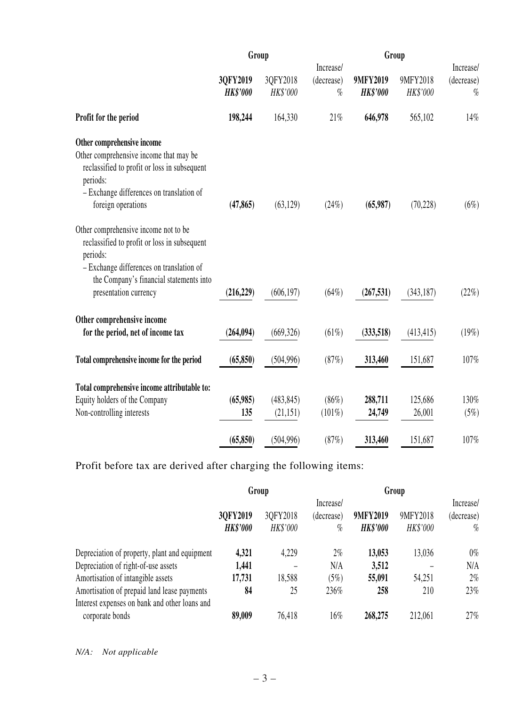|                                                                                                                                                                                         | Group                       |                      |                                 |                                    | Group                |                                 |  |
|-----------------------------------------------------------------------------------------------------------------------------------------------------------------------------------------|-----------------------------|----------------------|---------------------------------|------------------------------------|----------------------|---------------------------------|--|
|                                                                                                                                                                                         | 3QFY2019<br><b>HK\$'000</b> | 3QFY2018<br>HK\$'000 | Increase/<br>(decrease)<br>$\%$ | <b>9MFY2019</b><br><b>HK\$'000</b> | 9MFY2018<br>HK\$'000 | Increase/<br>(decrease)<br>$\%$ |  |
| Profit for the period                                                                                                                                                                   | 198,244                     | 164,330              | 21%                             | 646,978                            | 565,102              | 14%                             |  |
| Other comprehensive income                                                                                                                                                              |                             |                      |                                 |                                    |                      |                                 |  |
| Other comprehensive income that may be<br>reclassified to profit or loss in subsequent<br>periods:                                                                                      |                             |                      |                                 |                                    |                      |                                 |  |
| - Exchange differences on translation of<br>foreign operations                                                                                                                          | (47, 865)                   | (63, 129)            | (24%)                           | (65,987)                           | (70, 228)            | (6%)                            |  |
| Other comprehensive income not to be<br>reclassified to profit or loss in subsequent<br>periods:<br>- Exchange differences on translation of<br>the Company's financial statements into |                             |                      |                                 |                                    |                      |                                 |  |
| presentation currency                                                                                                                                                                   | (216, 229)                  | (606, 197)           | $(64\%)$                        | (267, 531)                         | (343, 187)           | (22%)                           |  |
| Other comprehensive income                                                                                                                                                              |                             |                      |                                 |                                    |                      |                                 |  |
| for the period, net of income tax                                                                                                                                                       | (264, 094)                  | (669, 326)           | $(61\%)$                        | (333,518)                          | (413, 415)           | (19%)                           |  |
| Total comprehensive income for the period                                                                                                                                               | (65, 850)                   | (504, 996)           | (87%)                           | 313,460                            | 151,687              | 107%                            |  |
| Total comprehensive income attributable to:                                                                                                                                             |                             |                      |                                 |                                    |                      |                                 |  |
| Equity holders of the Company                                                                                                                                                           | (65,985)                    | (483, 845)           | $(86\%)$                        | 288,711                            | 125,686              | 130%                            |  |
| Non-controlling interests                                                                                                                                                               | 135                         | (21, 151)            | $(101\%)$                       | 24,749                             | 26,001               | (5%)                            |  |
|                                                                                                                                                                                         | (65, 850)                   | (504, 996)           | (87%)                           | 313,460                            | 151,687              | 107%                            |  |

Profit before tax are derived after charging the following items:

|                                               |                 | Group    |            | Group           |          |            |  |
|-----------------------------------------------|-----------------|----------|------------|-----------------|----------|------------|--|
|                                               |                 |          | Increase/  |                 |          | Increase/  |  |
|                                               | 3QFY2019        | 3QFY2018 | (decrease) | 9MFY2019        | 9MFY2018 | (decrease) |  |
|                                               | <b>HK\$'000</b> | HK\$'000 | %          | <b>HK\$'000</b> | HK\$'000 | $\%$       |  |
| Depreciation of property, plant and equipment | 4,321           | 4,229    | $2\%$      | 13,053          | 13,036   | $0\%$      |  |
| Depreciation of right-of-use assets           | 1,441           |          | N/A        | 3,512           |          | N/A        |  |
| Amortisation of intangible assets             | 17,731          | 18,588   | (5%)       | 55,091          | 54,251   | $2\%$      |  |
| Amortisation of prepaid land lease payments   | 84              | 25       | 236%       | 258             | 210      | $23\%$     |  |
| Interest expenses on bank and other loans and |                 |          |            |                 |          |            |  |
| corporate bonds                               | 89,009          | 76,418   | 16%        | 268,275         | 212,061  | $27\%$     |  |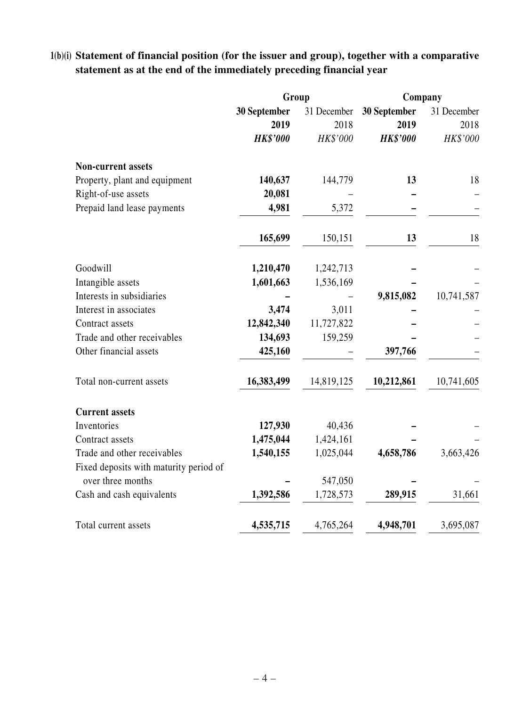# **1(b)(i) Statement of financial position (for the issuer and group), together with a comparative statement as at the end of the immediately preceding financial year**

|                                        | Group           |             | Company         |             |  |
|----------------------------------------|-----------------|-------------|-----------------|-------------|--|
|                                        | 30 September    | 31 December | 30 September    | 31 December |  |
|                                        | 2019            | 2018        | 2019            | 2018        |  |
|                                        | <b>HK\$'000</b> | HK\$'000    | <b>HK\$'000</b> | HK\$'000    |  |
| <b>Non-current assets</b>              |                 |             |                 |             |  |
| Property, plant and equipment          | 140,637         | 144,779     | 13              | 18          |  |
| Right-of-use assets                    | 20,081          |             |                 |             |  |
| Prepaid land lease payments            | 4,981           | 5,372       |                 |             |  |
|                                        | 165,699         | 150,151     | 13              | 18          |  |
| Goodwill                               | 1,210,470       | 1,242,713   |                 |             |  |
| Intangible assets                      | 1,601,663       | 1,536,169   |                 |             |  |
| Interests in subsidiaries              |                 |             | 9,815,082       | 10,741,587  |  |
| Interest in associates                 | 3,474           | 3,011       |                 |             |  |
| Contract assets                        | 12,842,340      | 11,727,822  |                 |             |  |
| Trade and other receivables            | 134,693         | 159,259     |                 |             |  |
| Other financial assets                 | 425,160         |             | 397,766         |             |  |
| Total non-current assets               | 16,383,499      | 14,819,125  | 10,212,861      | 10,741,605  |  |
| <b>Current assets</b>                  |                 |             |                 |             |  |
| Inventories                            | 127,930         | 40,436      |                 |             |  |
| Contract assets                        | 1,475,044       | 1,424,161   |                 |             |  |
| Trade and other receivables            | 1,540,155       | 1,025,044   | 4,658,786       | 3,663,426   |  |
| Fixed deposits with maturity period of |                 |             |                 |             |  |
| over three months                      |                 | 547,050     |                 |             |  |
| Cash and cash equivalents              | 1,392,586       | 1,728,573   | 289,915         | 31,661      |  |
| Total current assets                   | 4,535,715       | 4,765,264   | 4,948,701       | 3,695,087   |  |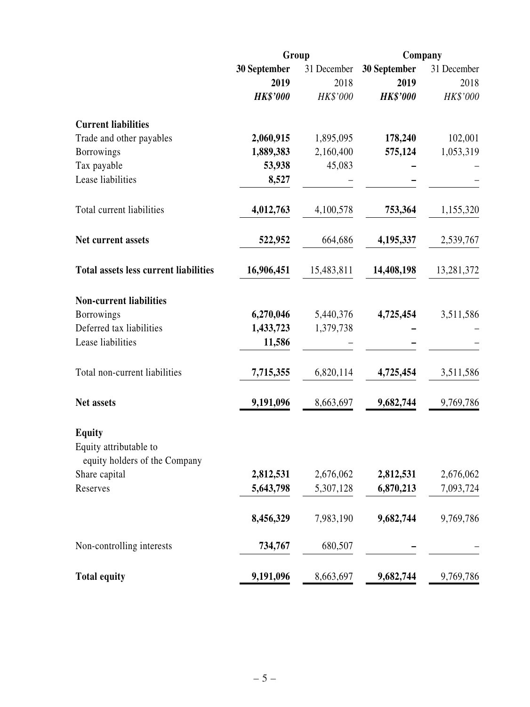|                                                                          |                      | Group               | Company              |                     |
|--------------------------------------------------------------------------|----------------------|---------------------|----------------------|---------------------|
|                                                                          | 30 September<br>2019 | 31 December<br>2018 | 30 September<br>2019 | 31 December<br>2018 |
|                                                                          | <b>HK\$'000</b>      | HK\$'000            | <b>HK\$'000</b>      | HK\$'000            |
| <b>Current liabilities</b>                                               |                      |                     |                      |                     |
| Trade and other payables                                                 | 2,060,915            | 1,895,095           | 178,240              | 102,001             |
| <b>Borrowings</b>                                                        | 1,889,383            | 2,160,400           | 575,124              | 1,053,319           |
| Tax payable                                                              | 53,938               | 45,083              |                      |                     |
| Lease liabilities                                                        | 8,527                |                     |                      |                     |
| Total current liabilities                                                | 4,012,763            | 4,100,578           | 753,364              | 1,155,320           |
| Net current assets                                                       | 522,952              | 664,686             | 4,195,337            | 2,539,767           |
| <b>Total assets less current liabilities</b>                             | 16,906,451           | 15,483,811          | 14,408,198           | 13,281,372          |
| <b>Non-current liabilities</b>                                           |                      |                     |                      |                     |
| <b>Borrowings</b>                                                        | 6,270,046            | 5,440,376           | 4,725,454            | 3,511,586           |
| Deferred tax liabilities                                                 | 1,433,723            | 1,379,738           |                      |                     |
| Lease liabilities                                                        | 11,586               |                     |                      |                     |
| Total non-current liabilities                                            | 7,715,355            | 6,820,114           | 4,725,454            | 3,511,586           |
| Net assets                                                               | 9,191,096            | 8,663,697           | 9,682,744            | 9,769,786           |
| <b>Equity</b><br>Equity attributable to<br>equity holders of the Company |                      |                     |                      |                     |
| Share capital                                                            | 2,812,531            | 2,676,062           | 2,812,531            | 2,676,062           |
| Reserves                                                                 | 5,643,798            | 5,307,128           | 6,870,213            | 7,093,724           |
|                                                                          | 8,456,329            | 7,983,190           | 9,682,744            | 9,769,786           |
| Non-controlling interests                                                | 734,767              | 680,507             |                      |                     |
| <b>Total equity</b>                                                      | 9,191,096            | 8,663,697           | 9,682,744            | 9,769,786           |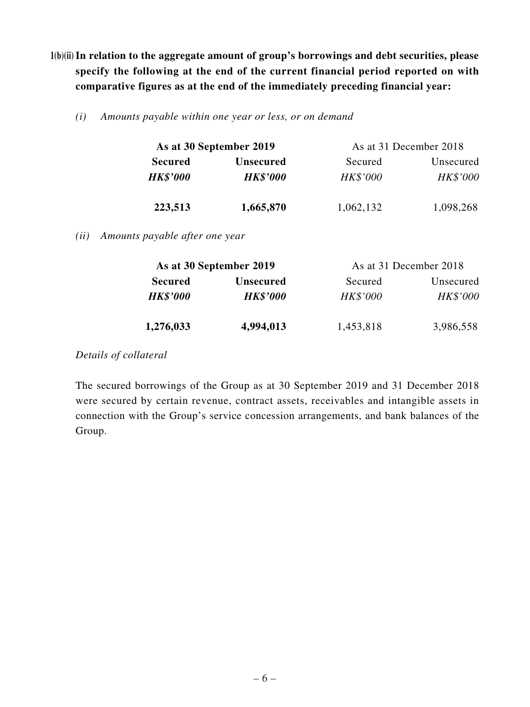- **1(b)(ii) In relation to the aggregate amount of group's borrowings and debt securities, please specify the following at the end of the current financial period reported on with comparative figures as at the end of the immediately preceding financial year:**
	- *(i) Amounts payable within one year or less, or on demand*

|                 | As at 30 September 2019 | As at 31 December 2018 |                 |  |  |  |
|-----------------|-------------------------|------------------------|-----------------|--|--|--|
| <b>Secured</b>  | <b>Unsecured</b>        | Secured                | Unsecured       |  |  |  |
| <b>HK\$'000</b> | <b>HK\$'000</b>         | <b>HK\$'000</b>        | <b>HK\$'000</b> |  |  |  |
| 223,513         | 1,665,870               | 1,062,132              | 1,098,268       |  |  |  |

*(ii) Amounts payable after one year*

|                 | As at 30 September 2019 | As at 31 December 2018 |                 |  |  |  |
|-----------------|-------------------------|------------------------|-----------------|--|--|--|
| <b>Secured</b>  | <b>Unsecured</b>        | Secured                | Unsecured       |  |  |  |
| <b>HK\$'000</b> | <b>HK\$'000</b>         | HK\$'000               | <b>HK\$'000</b> |  |  |  |
| 1,276,033       | 4,994,013               | 1,453,818              | 3,986,558       |  |  |  |

*Details of collateral*

The secured borrowings of the Group as at 30 September 2019 and 31 December 2018 were secured by certain revenue, contract assets, receivables and intangible assets in connection with the Group's service concession arrangements, and bank balances of the Group.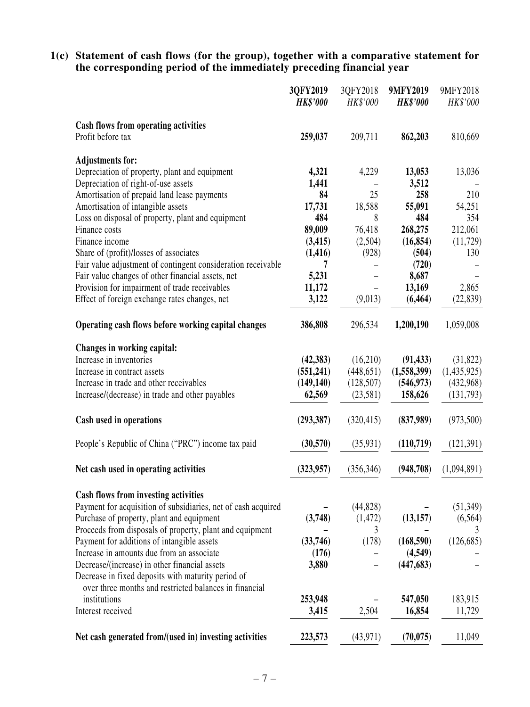**1(c) Statement of cash flows (for the group), together with a comparative statement for the corresponding period of the immediately preceding financial year**

| 3QFY2018<br>HK\$'000 | 9MFY2019<br><b>HK\$'000</b>                                                                              | 9MFY2018<br>HK\$'000                                                                                                                                               |
|----------------------|----------------------------------------------------------------------------------------------------------|--------------------------------------------------------------------------------------------------------------------------------------------------------------------|
|                      |                                                                                                          |                                                                                                                                                                    |
| 209,711              | 862,203                                                                                                  | 810,669                                                                                                                                                            |
|                      |                                                                                                          |                                                                                                                                                                    |
| 4,229                | 13,053                                                                                                   | 13,036                                                                                                                                                             |
|                      | 3,512                                                                                                    |                                                                                                                                                                    |
| 25                   | 258                                                                                                      | 210                                                                                                                                                                |
|                      |                                                                                                          | 54,251                                                                                                                                                             |
|                      |                                                                                                          | 354                                                                                                                                                                |
|                      |                                                                                                          | 212,061                                                                                                                                                            |
|                      |                                                                                                          | (11, 729)                                                                                                                                                          |
|                      |                                                                                                          | 130                                                                                                                                                                |
|                      |                                                                                                          |                                                                                                                                                                    |
|                      |                                                                                                          |                                                                                                                                                                    |
|                      |                                                                                                          | 2,865                                                                                                                                                              |
|                      |                                                                                                          | (22, 839)                                                                                                                                                          |
| 296,534              | 1,200,190                                                                                                | 1,059,008                                                                                                                                                          |
|                      |                                                                                                          |                                                                                                                                                                    |
| (16,210)             | (91, 433)                                                                                                | (31, 822)                                                                                                                                                          |
| (448, 651)           | (1,558,399)                                                                                              | (1,435,925)                                                                                                                                                        |
| (128, 507)           | (546, 973)                                                                                               | (432,968)                                                                                                                                                          |
| (23,581)             | 158,626                                                                                                  | (131,793)                                                                                                                                                          |
| (320, 415)           | (837,989)                                                                                                | (973,500)                                                                                                                                                          |
| (35, 931)            | (110,719)                                                                                                | (121, 391)                                                                                                                                                         |
| (356, 346)           | (948,708)                                                                                                | (1,094,891)                                                                                                                                                        |
|                      |                                                                                                          |                                                                                                                                                                    |
|                      |                                                                                                          |                                                                                                                                                                    |
|                      |                                                                                                          | (51, 349)                                                                                                                                                          |
|                      |                                                                                                          | (6, 564)                                                                                                                                                           |
|                      |                                                                                                          | 3                                                                                                                                                                  |
|                      |                                                                                                          | (126, 685)                                                                                                                                                         |
|                      |                                                                                                          |                                                                                                                                                                    |
|                      |                                                                                                          |                                                                                                                                                                    |
|                      |                                                                                                          |                                                                                                                                                                    |
|                      |                                                                                                          | 183,915                                                                                                                                                            |
| 2,504                | 16,854                                                                                                   | 11,729                                                                                                                                                             |
|                      |                                                                                                          | 11,049                                                                                                                                                             |
|                      | 18,588<br>8<br>76,418<br>(2,504)<br>(928)<br>(9,013)<br>(44, 828)<br>(1, 472)<br>3<br>(178)<br>(43, 971) | 55,091<br>484<br>268,275<br>(16, 854)<br>(504)<br>(720)<br>8,687<br>13,169<br>(6, 464)<br>(13, 157)<br>(168, 590)<br>(4,549)<br>(447, 683)<br>547,050<br>(70, 075) |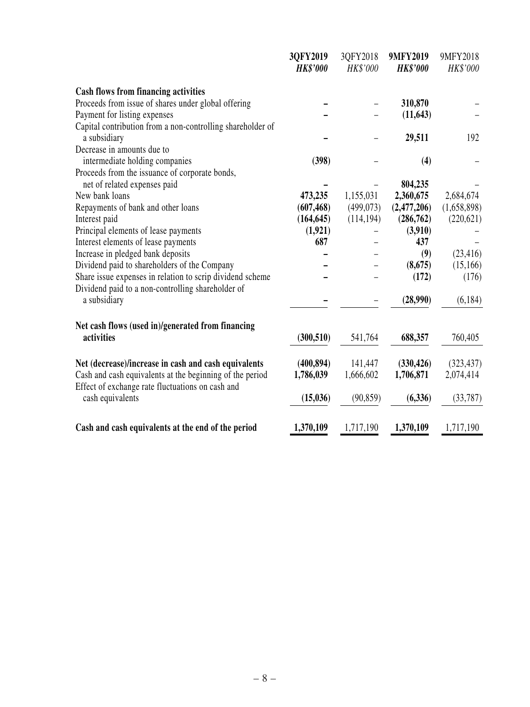|                                                                                                              | 3QFY2019<br><b>HK\$'000</b> | 3QFY2018<br>HK\$'000 | 9MFY2019<br><b>HK\$'000</b> | 9MFY2018<br>HK\$'000 |
|--------------------------------------------------------------------------------------------------------------|-----------------------------|----------------------|-----------------------------|----------------------|
| <b>Cash flows from financing activities</b>                                                                  |                             |                      |                             |                      |
| Proceeds from issue of shares under global offering                                                          |                             |                      | 310,870                     |                      |
| Payment for listing expenses                                                                                 |                             |                      | (11, 643)                   |                      |
| Capital contribution from a non-controlling shareholder of                                                   |                             |                      |                             |                      |
| a subsidiary                                                                                                 |                             |                      | 29,511                      | 192                  |
| Decrease in amounts due to                                                                                   |                             |                      |                             |                      |
| intermediate holding companies                                                                               | (398)                       |                      | (4)                         |                      |
| Proceeds from the issuance of corporate bonds,                                                               |                             |                      |                             |                      |
| net of related expenses paid                                                                                 |                             |                      | 804,235                     |                      |
| New bank loans                                                                                               | 473,235                     | 1,155,031            | 2,360,675                   | 2,684,674            |
| Repayments of bank and other loans                                                                           | (607, 468)                  | (499,073)            | (2,477,206)                 | (1,658,898)          |
| Interest paid                                                                                                | (164, 645)                  | (114, 194)           | (286,762)                   | (220, 621)           |
| Principal elements of lease payments                                                                         | (1,921)                     |                      | (3,910)                     |                      |
| Interest elements of lease payments                                                                          | 687                         |                      | 437                         |                      |
| Increase in pledged bank deposits                                                                            |                             |                      | (9)                         | (23, 416)            |
| Dividend paid to shareholders of the Company                                                                 |                             |                      | (8,675)                     | (15,166)             |
| Share issue expenses in relation to scrip dividend scheme                                                    |                             |                      | (172)                       | (176)                |
| Dividend paid to a non-controlling shareholder of                                                            |                             |                      |                             |                      |
| a subsidiary                                                                                                 |                             |                      | (28,990)                    | (6, 184)             |
| Net cash flows (used in)/generated from financing<br>activities                                              | (300, 510)                  | 541,764              | 688,357                     | 760,405              |
|                                                                                                              |                             |                      |                             |                      |
| Net (decrease)/increase in cash and cash equivalents                                                         | (400, 894)                  | 141,447              | (330, 426)                  | (323, 437)           |
| Cash and cash equivalents at the beginning of the period<br>Effect of exchange rate fluctuations on cash and | 1,786,039                   | 1,666,602            | 1,706,871                   | 2,074,414            |
| cash equivalents                                                                                             | (15, 036)                   | (90, 859)            | (6, 336)                    | (33, 787)            |
| Cash and cash equivalents at the end of the period                                                           | 1,370,109                   | 1,717,190            | 1,370,109                   | 1,717,190            |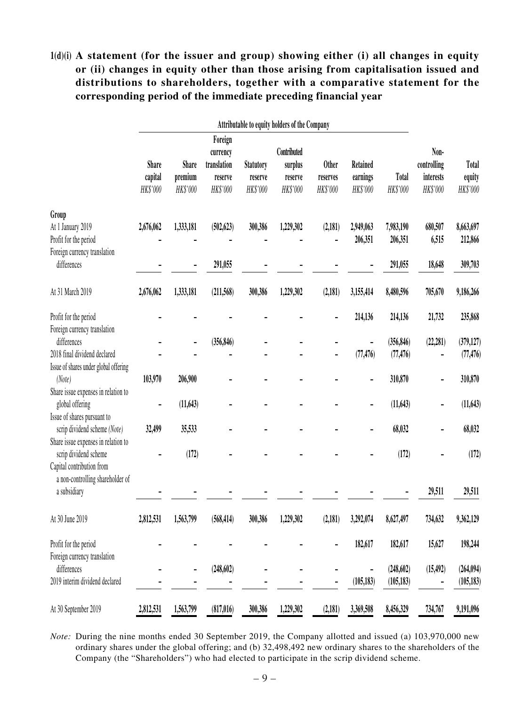**1(d)(i) A statement (for the issuer and group) showing either (i) all changes in equity or (ii) changes in equity other than those arising from capitalisation issued and distributions to shareholders, together with a comparative statement for the corresponding period of the immediate preceding financial year**

|                                                       | Attributable to equity holders of the Company |                              |                                                           |                                         |                                               |                                      |                                  |                          |                                              |                                    |
|-------------------------------------------------------|-----------------------------------------------|------------------------------|-----------------------------------------------------------|-----------------------------------------|-----------------------------------------------|--------------------------------------|----------------------------------|--------------------------|----------------------------------------------|------------------------------------|
|                                                       | <b>Share</b><br>capital<br>HK\$'000           | Share<br>premium<br>HK\$'000 | Foreign<br>currency<br>translation<br>reserve<br>HK\$'000 | <b>Statutory</b><br>reserve<br>HK\$'000 | Contributed<br>surplus<br>reserve<br>HK\$'000 | <b>Other</b><br>reserves<br>HK\$'000 | Retained<br>earnings<br>HK\$'000 | <b>Total</b><br>HK\$'000 | Non-<br>controlling<br>interests<br>HK\$'000 | <b>Total</b><br>equity<br>HK\$'000 |
| Group                                                 |                                               |                              |                                                           |                                         |                                               |                                      |                                  |                          |                                              |                                    |
| At 1 January 2019                                     | 2,676,062                                     | 1,333,181                    | (502, 623)                                                | 300,386                                 | 1,229,302                                     | (2,181)                              | 2,949,063                        | 7,983,190                | 680,507                                      | 8,663,697                          |
| Profit for the period<br>Foreign currency translation |                                               |                              |                                                           |                                         |                                               |                                      | 206,351                          | 206,351                  | 6,515                                        | 212,866                            |
| differences                                           |                                               |                              | 291,055                                                   |                                         |                                               |                                      |                                  | 291,055                  | 18,648                                       | 309,703                            |
| At 31 March 2019                                      | 2,676,062                                     | 1,333,181                    | (211,568)                                                 | 300,386                                 | 1,229,302                                     | (2, 181)                             | 3,155,414                        | 8,480,596                | 705,670                                      | 9,186,266                          |
| Profit for the period                                 |                                               |                              |                                                           |                                         |                                               |                                      | 214,136                          | 214,136                  | 21,732                                       | 235,868                            |
| Foreign currency translation                          |                                               |                              |                                                           |                                         |                                               |                                      |                                  |                          |                                              |                                    |
| differences                                           |                                               |                              | (356, 846)                                                |                                         |                                               |                                      |                                  | (356, 846)               | (22, 281)                                    | (379, 127)                         |
| 2018 final dividend declared                          |                                               |                              |                                                           |                                         |                                               |                                      | (77, 476)                        | (77, 476)                |                                              | (77, 476)                          |
| Issue of shares under global offering                 |                                               |                              |                                                           |                                         |                                               |                                      |                                  |                          |                                              |                                    |
| (Note)                                                | 103,970                                       | 206,900                      |                                                           |                                         |                                               |                                      |                                  | 310,870                  |                                              | 310,870                            |
| Share issue expenses in relation to                   |                                               |                              |                                                           |                                         |                                               |                                      |                                  |                          |                                              |                                    |
| global offering<br>Issue of shares pursuant to        |                                               | (11, 643)                    |                                                           |                                         |                                               |                                      |                                  | (11, 643)                |                                              | (11, 643)                          |
| scrip dividend scheme (Note)                          | 32,499                                        | 35,533                       |                                                           |                                         |                                               |                                      |                                  | 68,032                   |                                              | 68,032                             |
| Share issue expenses in relation to                   |                                               |                              |                                                           |                                         |                                               |                                      |                                  |                          |                                              |                                    |
| scrip dividend scheme                                 |                                               | (172)                        |                                                           |                                         |                                               |                                      |                                  | (172)                    |                                              | (172)                              |
| Capital contribution from                             |                                               |                              |                                                           |                                         |                                               |                                      |                                  |                          |                                              |                                    |
| a non-controlling shareholder of                      |                                               |                              |                                                           |                                         |                                               |                                      |                                  |                          |                                              |                                    |
| a subsidiary                                          |                                               |                              |                                                           |                                         |                                               |                                      |                                  |                          | 29,511                                       | 29,511                             |
| At 30 June 2019                                       | 2,812,531                                     | 1,563,799                    | (568, 414)                                                | 300,386                                 | 1,229,302                                     | (2, 181)                             | 3,292,074                        | 8,627,497                | 734,632                                      | 9,362,129                          |
| Profit for the period                                 |                                               |                              |                                                           |                                         |                                               |                                      | 182,617                          | 182,617                  |                                              |                                    |
| Foreign currency translation                          |                                               |                              |                                                           |                                         |                                               |                                      |                                  |                          | 15,627                                       | 198,244                            |
| differences                                           |                                               | -                            | (248, 602)                                                |                                         |                                               |                                      |                                  | (248, 602)               | (15, 492)                                    | (264, 094)                         |
| 2019 interim dividend declared                        |                                               |                              |                                                           |                                         |                                               |                                      | (105, 183)                       | (105, 183)               |                                              | (105, 183)                         |
|                                                       |                                               |                              |                                                           |                                         |                                               |                                      |                                  |                          |                                              |                                    |
| At 30 September 2019                                  | 2,812,531                                     | 1,563,799                    | (817, 016)                                                | 300,386                                 | 1,229,302                                     | (2,181)                              | 3,369,508                        | 8,456,329                | 734,767                                      | 9,191,096                          |

*Note:* During the nine months ended 30 September 2019, the Company allotted and issued (a) 103,970,000 new ordinary shares under the global offering; and (b) 32,498,492 new ordinary shares to the shareholders of the Company (the "Shareholders") who had elected to participate in the scrip dividend scheme.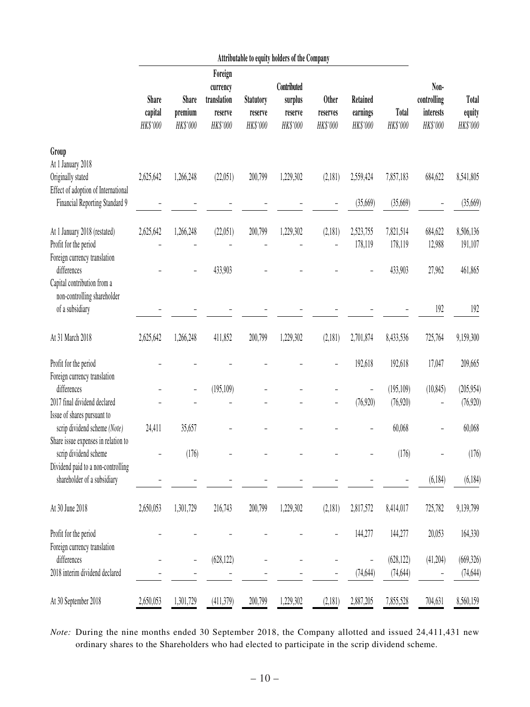|                                                                               |                                     |                                     |                                                           |                                         | Attributable to equity holders of the Company |                                      |                                         |                      |                                              |                                    |
|-------------------------------------------------------------------------------|-------------------------------------|-------------------------------------|-----------------------------------------------------------|-----------------------------------------|-----------------------------------------------|--------------------------------------|-----------------------------------------|----------------------|----------------------------------------------|------------------------------------|
|                                                                               | <b>Share</b><br>capital<br>HK\$'000 | <b>Share</b><br>premium<br>HK\$'000 | Foreign<br>currency<br>translation<br>reserve<br>HK\$'000 | <b>Statutory</b><br>reserve<br>HK\$'000 | Contributed<br>surplus<br>reserve<br>HK\$'000 | <b>Other</b><br>reserves<br>HK\$'000 | <b>Retained</b><br>earnings<br>HK\$'000 | Total<br>HK\$'000    | Non-<br>controlling<br>interests<br>HK\$'000 | <b>Total</b><br>equity<br>HK\$'000 |
| Group                                                                         |                                     |                                     |                                                           |                                         |                                               |                                      |                                         |                      |                                              |                                    |
| At 1 January 2018<br>Originally stated<br>Effect of adoption of International | 2,625,642                           | 1,266,248                           | (22,051)                                                  | 200,799                                 | 1,229,302                                     | (2,181)                              | 2,559,424                               | 7,857,183            | 684,622                                      | 8,541,805                          |
| Financial Reporting Standard 9                                                |                                     |                                     |                                                           |                                         |                                               |                                      | (35,669)                                | (35,669)             |                                              | (35,669)                           |
| At 1 January 2018 (restated)<br>Profit for the period                         | 2,625,642                           | 1,266,248                           | (22,051)                                                  | 200,799                                 | 1,229,302                                     | (2,181)                              | 2,523,755<br>178,119                    | 7,821,514<br>178,119 | 684,622<br>12,988                            | 8,506,136<br>191,107               |
| Foreign currency translation<br>differences                                   |                                     |                                     | 433,903                                                   |                                         |                                               |                                      |                                         | 433,903              | 27,962                                       | 461,865                            |
| Capital contribution from a<br>non-controlling shareholder<br>of a subsidiary |                                     |                                     |                                                           |                                         |                                               |                                      |                                         |                      | 192                                          | 192                                |
| At 31 March 2018                                                              | 2,625,642                           | 1,266,248                           | 411,852                                                   | 200,799                                 | 1,229,302                                     | (2,181)                              | 2,701,874                               | 8,433,536            | 725,764                                      | 9,159,300                          |
| Profit for the period<br>Foreign currency translation                         |                                     |                                     |                                                           |                                         |                                               |                                      | 192,618                                 | 192,618              | 17,047                                       | 209,665                            |
| differences                                                                   |                                     | -                                   | (195, 109)                                                |                                         |                                               |                                      |                                         | (195, 109)           | (10, 845)                                    | (205, 954)                         |
| 2017 final dividend declared<br>Issue of shares pursuant to                   |                                     |                                     |                                                           |                                         |                                               |                                      | (76, 920)                               | (76,920)             |                                              | (76, 920)                          |
| scrip dividend scheme (Note)<br>Share issue expenses in relation to           | 24,411                              | 35,657                              |                                                           |                                         |                                               |                                      |                                         | 60,068               |                                              | 60,068                             |
| scrip dividend scheme<br>Dividend paid to a non-controlling                   |                                     | (176)                               |                                                           |                                         |                                               |                                      |                                         | (176)                |                                              | (176)                              |
| shareholder of a subsidiary                                                   |                                     |                                     |                                                           |                                         |                                               |                                      |                                         |                      | (6, 184)                                     | (6, 184)                           |
| At 30 June 2018                                                               | 2,650,053                           | 1,301,729                           | 216,743                                                   | 200,799                                 | 1,229,302                                     | (2,181)                              | 2,817,572                               | 8,414,017            | 725,782                                      | 9,139,799                          |
| Profit for the period                                                         |                                     |                                     |                                                           |                                         |                                               |                                      | 144,277                                 | 144,277              | 20,053                                       | 164,330                            |
| Foreign currency translation<br>differences                                   |                                     | $\overline{\phantom{0}}$            | (628, 122)                                                |                                         |                                               |                                      |                                         | (628, 122)           | (41,204)                                     | (669, 326)                         |
| 2018 interim dividend declared                                                |                                     |                                     |                                                           |                                         |                                               |                                      | (74, 644)                               | (74, 644)            |                                              | (74, 644)                          |
| At 30 September 2018                                                          | 2,650,053                           | 1,301,729                           | (411,379)                                                 | 200,799                                 | 1,229,302                                     | (2,181)                              | 2,887,205                               | 7,855,528            | 704,631                                      | 8,560,159                          |

*Note:* During the nine months ended 30 September 2018, the Company allotted and issued 24,411,431 new ordinary shares to the Shareholders who had elected to participate in the scrip dividend scheme.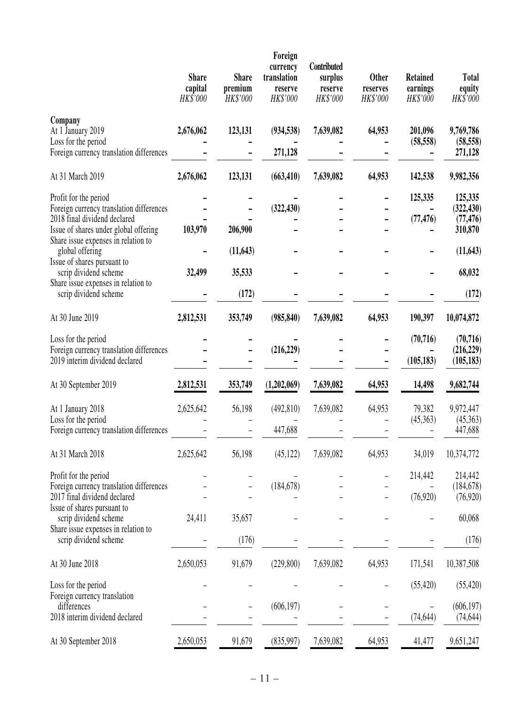|                                                                              | <b>Share</b><br>capital<br>HK\$'000 | <b>Share</b><br>premium<br>HK\$'000 | Foreign<br>currency<br>translation<br>reserve<br>HK\$'000 | Contributed<br>surplus<br>reserve<br>HK\$'000 | Other<br>reserves<br>HK\$'000 | <b>Retained</b><br>earnings<br>HK\$'000 | <b>Total</b><br>equity<br>HK\$'000 |
|------------------------------------------------------------------------------|-------------------------------------|-------------------------------------|-----------------------------------------------------------|-----------------------------------------------|-------------------------------|-----------------------------------------|------------------------------------|
| Company<br>At 1 January 2019<br>Loss for the period                          | 2,676,062                           | 123,131                             | (934, 538)                                                | 7,639,082                                     | 64,953                        | 201,096<br>(58, 558)                    | 9,769,786<br>(58, 558)             |
| Foreign currency translation differences                                     |                                     |                                     | 271,128                                                   |                                               |                               |                                         | 271,128                            |
| At 31 March 2019                                                             | 2,676,062                           | 123,131                             | (663, 410)                                                | 7,639,082                                     | 64,953                        | 142,538                                 | 9,982,356                          |
| Profit for the period<br>Foreign currency translation differences            |                                     |                                     | (322, 430)                                                |                                               |                               | 125,335                                 | 125,335<br>(322, 430)              |
| 2018 final dividend declared                                                 |                                     |                                     |                                                           |                                               |                               | (77, 476)                               | (77, 476)                          |
| Issue of shares under global offering<br>Share issue expenses in relation to | 103,970                             | 206,900                             |                                                           |                                               |                               |                                         | 310,870                            |
| global offering<br>Issue of shares pursuant to                               |                                     | (11, 643)                           |                                                           |                                               |                               |                                         | (11, 643)                          |
| scrip dividend scheme<br>Share issue expenses in relation to                 | 32,499                              | 35,533                              |                                                           |                                               |                               |                                         | 68,032                             |
| scrip dividend scheme                                                        |                                     | (172)                               |                                                           |                                               |                               |                                         | (172)                              |
| At 30 June 2019                                                              | 2,812,531                           | 353,749                             | (985, 840)                                                | 7,639,082                                     | 64,953                        | 190,397                                 | 10,074,872                         |
| Loss for the period                                                          |                                     |                                     |                                                           |                                               |                               | (70, 716)                               | (70, 716)                          |
| Foreign currency translation differences<br>2019 interim dividend declared   |                                     |                                     | (216, 229)                                                |                                               |                               | (105, 183)                              | (216, 229)<br>(105, 183)           |
| At 30 September 2019                                                         | 2,812,531                           | 353,749                             | (1,202,069)                                               | 7,639,082                                     | 64,953                        | 14,498                                  | 9,682,744                          |
| At 1 January 2018                                                            | 2,625,642                           | 56,198                              | (492, 810)                                                | 7,639,082                                     | 64,953                        | 79,382                                  | 9,972,447                          |
| Loss for the period<br>Foreign currency translation differences              |                                     |                                     | 447,688                                                   |                                               |                               | (45,363)                                | (45,363)<br>447,688                |
| At 31 March 2018                                                             | 2,625,642                           | 56,198                              | (45, 122)                                                 | 7,639,082                                     | 64,953                        | 34,019                                  | 10,374,772                         |
| Profit for the period                                                        |                                     |                                     |                                                           |                                               |                               | 214,442                                 | 214,442                            |
| Foreign currency translation differences<br>2017 final dividend declared     |                                     |                                     | (184, 678)                                                |                                               |                               | (76, 920)                               | (184, 678)<br>(76, 920)            |
| Issue of shares pursuant to<br>scrip dividend scheme                         | 24,411                              | 35,657                              |                                                           |                                               |                               |                                         | 60,068                             |
| Share issue expenses in relation to<br>scrip dividend scheme                 |                                     | (176)                               |                                                           |                                               |                               |                                         | (176)                              |
| At 30 June 2018                                                              | 2,650,053                           | 91,679                              | (229, 800)                                                | 7,639,082                                     | 64,953                        | 171,541                                 | 10,387,508                         |
| Loss for the period                                                          |                                     |                                     |                                                           |                                               |                               | (55, 420)                               | (55, 420)                          |
| Foreign currency translation<br>differences                                  |                                     |                                     | (606, 197)                                                |                                               |                               |                                         | (606, 197)                         |
| 2018 interim dividend declared                                               |                                     |                                     |                                                           |                                               |                               | (74, 644)                               | (74, 644)                          |
| At 30 September 2018                                                         | 2,650,053                           | 91,679                              | (835,997)                                                 | 7,639,082                                     | 64,953                        | 41,477                                  | 9,651,247                          |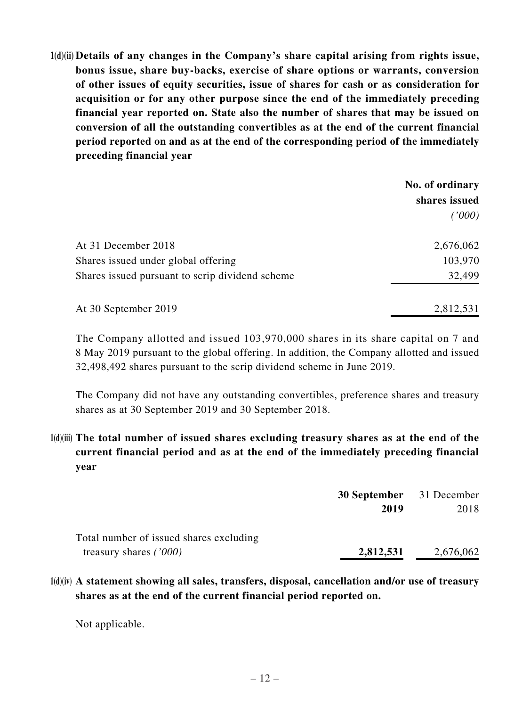**1(d)(ii) Details of any changes in the Company's share capital arising from rights issue, bonus issue, share buy-backs, exercise of share options or warrants, conversion of other issues of equity securities, issue of shares for cash or as consideration for acquisition or for any other purpose since the end of the immediately preceding financial year reported on. State also the number of shares that may be issued on conversion of all the outstanding convertibles as at the end of the current financial period reported on and as at the end of the corresponding period of the immediately preceding financial year**

|                                                 | No. of ordinary |
|-------------------------------------------------|-----------------|
|                                                 | shares issued   |
|                                                 | (1000)          |
| At 31 December 2018                             | 2,676,062       |
| Shares issued under global offering             | 103,970         |
| Shares issued pursuant to scrip dividend scheme | 32,499          |
| At 30 September 2019                            | 2,812,531       |

The Company allotted and issued 103,970,000 shares in its share capital on 7 and 8 May 2019 pursuant to the global offering. In addition, the Company allotted and issued 32,498,492 shares pursuant to the scrip dividend scheme in June 2019.

The Company did not have any outstanding convertibles, preference shares and treasury shares as at 30 September 2019 and 30 September 2018.

**1(d)(iii) The total number of issued shares excluding treasury shares as at the end of the current financial period and as at the end of the immediately preceding financial year**

|                                         | <b>30 September</b> 31 December |           |  |
|-----------------------------------------|---------------------------------|-----------|--|
|                                         | 2019                            | 2018      |  |
| Total number of issued shares excluding |                                 |           |  |
| treasury shares $(7000)$                | 2,812,531                       | 2,676,062 |  |

**1(d)(iv) A statement showing all sales, transfers, disposal, cancellation and/or use of treasury shares as at the end of the current financial period reported on.** 

Not applicable.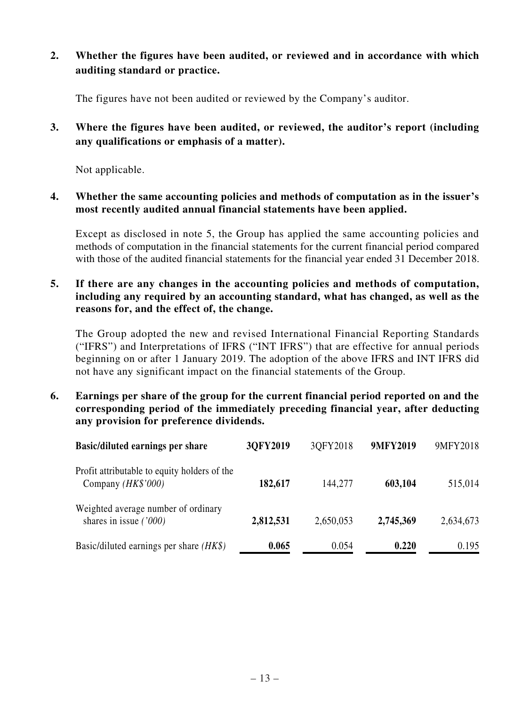**2. Whether the figures have been audited, or reviewed and in accordance with which auditing standard or practice.**

The figures have not been audited or reviewed by the Company's auditor.

**3. Where the figures have been audited, or reviewed, the auditor's report (including any qualifications or emphasis of a matter).**

Not applicable.

**4. Whether the same accounting policies and methods of computation as in the issuer's most recently audited annual financial statements have been applied.**

Except as disclosed in note 5, the Group has applied the same accounting policies and methods of computation in the financial statements for the current financial period compared with those of the audited financial statements for the financial year ended 31 December 2018.

**5. If there are any changes in the accounting policies and methods of computation, including any required by an accounting standard, what has changed, as well as the reasons for, and the effect of, the change.**

The Group adopted the new and revised International Financial Reporting Standards ("IFRS") and Interpretations of IFRS ("INT IFRS") that are effective for annual periods beginning on or after 1 January 2019. The adoption of the above IFRS and INT IFRS did not have any significant impact on the financial statements of the Group.

**6. Earnings per share of the group for the current financial period reported on and the corresponding period of the immediately preceding financial year, after deducting any provision for preference dividends.**

| <b>Basic/diluted earnings per share</b>                            | 3QFY2019  | 3QFY2018  | 9MFY2019  | 9MFY2018  |
|--------------------------------------------------------------------|-----------|-----------|-----------|-----------|
| Profit attributable to equity holders of the<br>Company (HK\$'000) | 182,617   | 144,277   | 603,104   | 515,014   |
| Weighted average number of ordinary<br>shares in issue $(7000)$    | 2,812,531 | 2,650,053 | 2,745,369 | 2,634,673 |
| Basic/diluted earnings per share $(HK\$ )                          | 0.065     | 0.054     | 0.220     | 0.195     |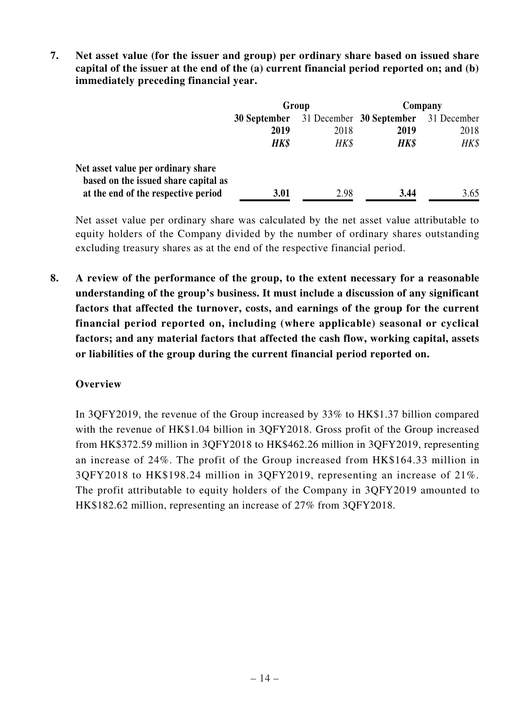**7. Net asset value (for the issuer and group) per ordinary share based on issued share capital of the issuer at the end of the (a) current financial period reported on; and (b) immediately preceding financial year.**

|                                                                             | Group        |      | Company                  |             |
|-----------------------------------------------------------------------------|--------------|------|--------------------------|-------------|
|                                                                             | 30 September |      | 31 December 30 September | 31 December |
|                                                                             | 2019         | 2018 | 2019                     | 2018        |
|                                                                             | HK\$         | HK\$ | <b>HK\$</b>              | HK\$        |
| Net asset value per ordinary share                                          |              |      |                          |             |
| based on the issued share capital as<br>at the end of the respective period | 3.01         | 2.98 | 3.44                     | 3.65        |

Net asset value per ordinary share was calculated by the net asset value attributable to equity holders of the Company divided by the number of ordinary shares outstanding excluding treasury shares as at the end of the respective financial period.

**8. A review of the performance of the group, to the extent necessary for a reasonable understanding of the group's business. It must include a discussion of any significant factors that affected the turnover, costs, and earnings of the group for the current financial period reported on, including (where applicable) seasonal or cyclical factors; and any material factors that affected the cash flow, working capital, assets or liabilities of the group during the current financial period reported on.**

# **Overview**

In 3QFY2019, the revenue of the Group increased by 33% to HK\$1.37 billion compared with the revenue of HK\$1.04 billion in 3QFY2018. Gross profit of the Group increased from HK\$372.59 million in 3QFY2018 to HK\$462.26 million in 3QFY2019, representing an increase of 24%. The profit of the Group increased from HK\$164.33 million in 3QFY2018 to HK\$198.24 million in 3QFY2019, representing an increase of 21%. The profit attributable to equity holders of the Company in 3QFY2019 amounted to HK\$182.62 million, representing an increase of 27% from 3QFY2018.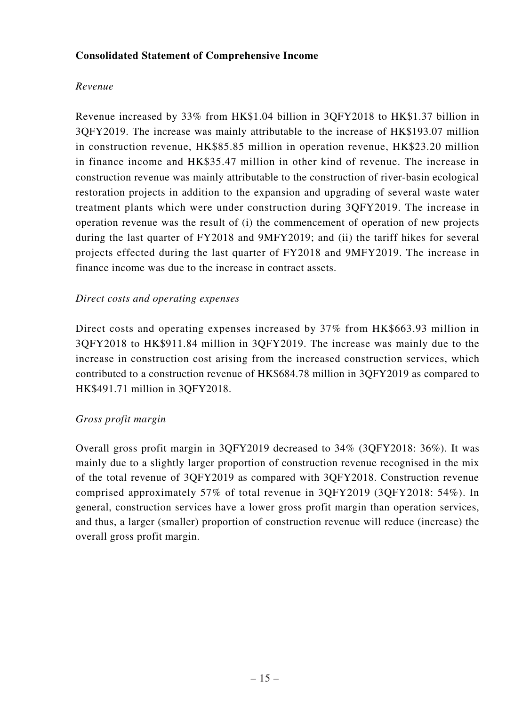### **Consolidated Statement of Comprehensive Income**

### *Revenue*

Revenue increased by 33% from HK\$1.04 billion in 3QFY2018 to HK\$1.37 billion in 3QFY2019. The increase was mainly attributable to the increase of HK\$193.07 million in construction revenue, HK\$85.85 million in operation revenue, HK\$23.20 million in finance income and HK\$35.47 million in other kind of revenue. The increase in construction revenue was mainly attributable to the construction of river-basin ecological restoration projects in addition to the expansion and upgrading of several waste water treatment plants which were under construction during 3QFY2019. The increase in operation revenue was the result of (i) the commencement of operation of new projects during the last quarter of FY2018 and 9MFY2019; and (ii) the tariff hikes for several projects effected during the last quarter of FY2018 and 9MFY2019. The increase in finance income was due to the increase in contract assets.

#### *Direct costs and operating expenses*

Direct costs and operating expenses increased by 37% from HK\$663.93 million in 3QFY2018 to HK\$911.84 million in 3QFY2019. The increase was mainly due to the increase in construction cost arising from the increased construction services, which contributed to a construction revenue of HK\$684.78 million in 3QFY2019 as compared to HK\$491.71 million in 3QFY2018.

### *Gross profit margin*

Overall gross profit margin in 3QFY2019 decreased to 34% (3QFY2018: 36%). It was mainly due to a slightly larger proportion of construction revenue recognised in the mix of the total revenue of 3QFY2019 as compared with 3QFY2018. Construction revenue comprised approximately 57% of total revenue in 3QFY2019 (3QFY2018: 54%). In general, construction services have a lower gross profit margin than operation services, and thus, a larger (smaller) proportion of construction revenue will reduce (increase) the overall gross profit margin.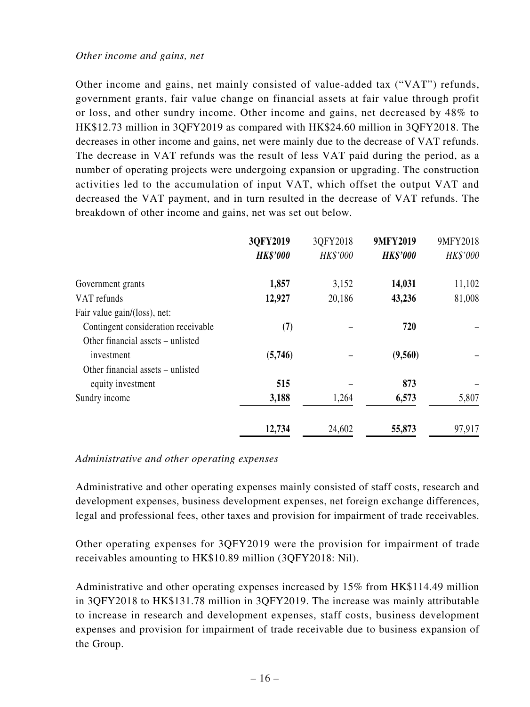Other income and gains, net mainly consisted of value-added tax ("VAT") refunds, government grants, fair value change on financial assets at fair value through profit or loss, and other sundry income. Other income and gains, net decreased by 48% to HK\$12.73 million in 3QFY2019 as compared with HK\$24.60 million in 3QFY2018. The decreases in other income and gains, net were mainly due to the decrease of VAT refunds. The decrease in VAT refunds was the result of less VAT paid during the period, as a number of operating projects were undergoing expansion or upgrading. The construction activities led to the accumulation of input VAT, which offset the output VAT and decreased the VAT payment, and in turn resulted in the decrease of VAT refunds. The breakdown of other income and gains, net was set out below.

|                                     | 3QFY2019<br><b>HK\$'000</b> | 3QFY2018<br>HK\$'000 | <b>9MFY2019</b><br><b>HK\$'000</b> | 9MFY2018<br>HK\$'000 |
|-------------------------------------|-----------------------------|----------------------|------------------------------------|----------------------|
| Government grants                   | 1,857                       | 3,152                | 14,031                             | 11,102               |
| VAT refunds                         | 12,927                      | 20,186               | 43,236                             | 81,008               |
| Fair value gain/(loss), net:        |                             |                      |                                    |                      |
| Contingent consideration receivable | (7)                         |                      | 720                                |                      |
| Other financial assets – unlisted   |                             |                      |                                    |                      |
| investment                          | (5,746)                     |                      | (9,560)                            |                      |
| Other financial assets – unlisted   |                             |                      |                                    |                      |
| equity investment                   | 515                         |                      | 873                                |                      |
| Sundry income                       | 3,188                       | 1,264                | 6,573                              | 5,807                |
|                                     | 12,734                      | 24,602               | 55,873                             | 97,917               |

#### *Administrative and other operating expenses*

Administrative and other operating expenses mainly consisted of staff costs, research and development expenses, business development expenses, net foreign exchange differences, legal and professional fees, other taxes and provision for impairment of trade receivables.

Other operating expenses for 3QFY2019 were the provision for impairment of trade receivables amounting to HK\$10.89 million (3QFY2018: Nil).

Administrative and other operating expenses increased by 15% from HK\$114.49 million in 3QFY2018 to HK\$131.78 million in 3QFY2019. The increase was mainly attributable to increase in research and development expenses, staff costs, business development expenses and provision for impairment of trade receivable due to business expansion of the Group.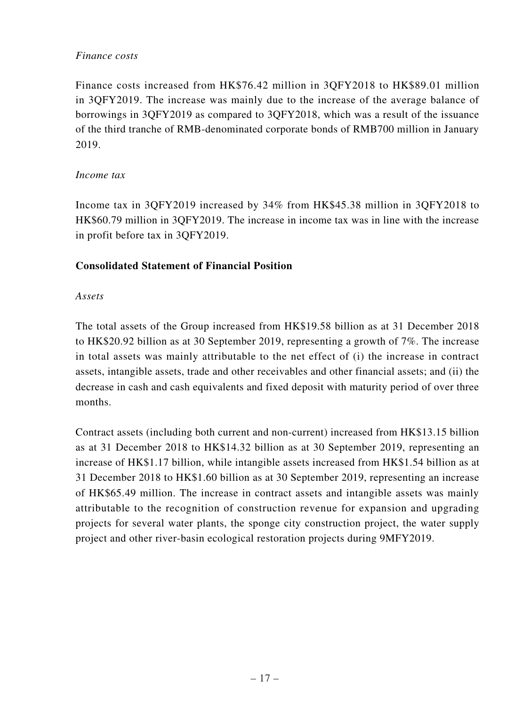### *Finance costs*

Finance costs increased from HK\$76.42 million in 3QFY2018 to HK\$89.01 million in 3QFY2019. The increase was mainly due to the increase of the average balance of borrowings in 3QFY2019 as compared to 3QFY2018, which was a result of the issuance of the third tranche of RMB-denominated corporate bonds of RMB700 million in January 2019.

### *Income tax*

Income tax in 3QFY2019 increased by 34% from HK\$45.38 million in 3QFY2018 to HK\$60.79 million in 3QFY2019. The increase in income tax was in line with the increase in profit before tax in 3QFY2019.

# **Consolidated Statement of Financial Position**

### *Assets*

The total assets of the Group increased from HK\$19.58 billion as at 31 December 2018 to HK\$20.92 billion as at 30 September 2019, representing a growth of 7%. The increase in total assets was mainly attributable to the net effect of (i) the increase in contract assets, intangible assets, trade and other receivables and other financial assets; and (ii) the decrease in cash and cash equivalents and fixed deposit with maturity period of over three months.

Contract assets (including both current and non-current) increased from HK\$13.15 billion as at 31 December 2018 to HK\$14.32 billion as at 30 September 2019, representing an increase of HK\$1.17 billion, while intangible assets increased from HK\$1.54 billion as at 31 December 2018 to HK\$1.60 billion as at 30 September 2019, representing an increase of HK\$65.49 million. The increase in contract assets and intangible assets was mainly attributable to the recognition of construction revenue for expansion and upgrading projects for several water plants, the sponge city construction project, the water supply project and other river-basin ecological restoration projects during 9MFY2019.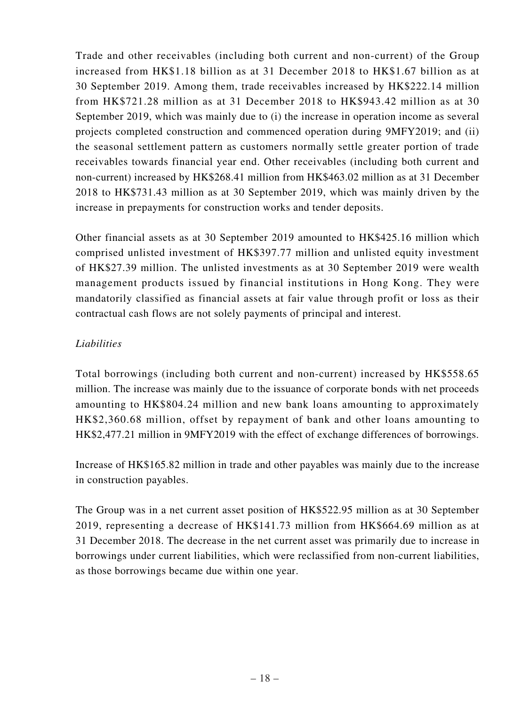Trade and other receivables (including both current and non-current) of the Group increased from HK\$1.18 billion as at 31 December 2018 to HK\$1.67 billion as at 30 September 2019. Among them, trade receivables increased by HK\$222.14 million from HK\$721.28 million as at 31 December 2018 to HK\$943.42 million as at 30 September 2019, which was mainly due to (i) the increase in operation income as several projects completed construction and commenced operation during 9MFY2019; and (ii) the seasonal settlement pattern as customers normally settle greater portion of trade receivables towards financial year end. Other receivables (including both current and non-current) increased by HK\$268.41 million from HK\$463.02 million as at 31 December 2018 to HK\$731.43 million as at 30 September 2019, which was mainly driven by the increase in prepayments for construction works and tender deposits.

Other financial assets as at 30 September 2019 amounted to HK\$425.16 million which comprised unlisted investment of HK\$397.77 million and unlisted equity investment of HK\$27.39 million. The unlisted investments as at 30 September 2019 were wealth management products issued by financial institutions in Hong Kong. They were mandatorily classified as financial assets at fair value through profit or loss as their contractual cash flows are not solely payments of principal and interest.

### *Liabilities*

Total borrowings (including both current and non-current) increased by HK\$558.65 million. The increase was mainly due to the issuance of corporate bonds with net proceeds amounting to HK\$804.24 million and new bank loans amounting to approximately HK\$2,360.68 million, offset by repayment of bank and other loans amounting to HK\$2,477.21 million in 9MFY2019 with the effect of exchange differences of borrowings.

Increase of HK\$165.82 million in trade and other payables was mainly due to the increase in construction payables.

The Group was in a net current asset position of HK\$522.95 million as at 30 September 2019, representing a decrease of HK\$141.73 million from HK\$664.69 million as at 31 December 2018. The decrease in the net current asset was primarily due to increase in borrowings under current liabilities, which were reclassified from non-current liabilities, as those borrowings became due within one year.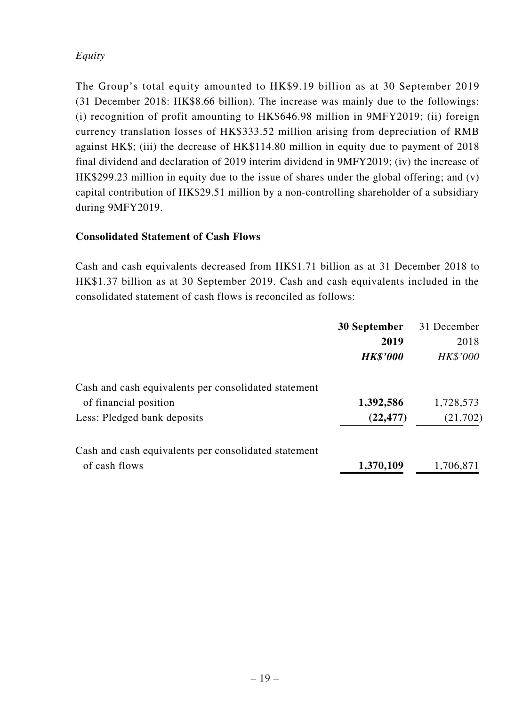# *Equity*

The Group's total equity amounted to HK\$9.19 billion as at 30 September 2019 (31 December 2018: HK\$8.66 billion). The increase was mainly due to the followings: (i) recognition of profit amounting to HK\$646.98 million in 9MFY2019; (ii) foreign currency translation losses of HK\$333.52 million arising from depreciation of RMB against HK\$; (iii) the decrease of HK\$114.80 million in equity due to payment of 2018 final dividend and declaration of 2019 interim dividend in 9MFY2019; (iv) the increase of HK\$299.23 million in equity due to the issue of shares under the global offering; and (v) capital contribution of HK\$29.51 million by a non-controlling shareholder of a subsidiary during 9MFY2019.

### **Consolidated Statement of Cash Flows**

Cash and cash equivalents decreased from HK\$1.71 billion as at 31 December 2018 to HK\$1.37 billion as at 30 September 2019. Cash and cash equivalents included in the consolidated statement of cash flows is reconciled as follows:

|                                                      | 30 September    | 31 December |
|------------------------------------------------------|-----------------|-------------|
|                                                      | 2019            | 2018        |
|                                                      | <b>HK\$'000</b> | HK\$'000    |
| Cash and cash equivalents per consolidated statement |                 |             |
| of financial position                                | 1,392,586       | 1,728,573   |
| Less: Pledged bank deposits                          | (22, 477)       | (21,702)    |
| Cash and cash equivalents per consolidated statement |                 |             |
| of cash flows                                        | 1,370,109       | 1,706,871   |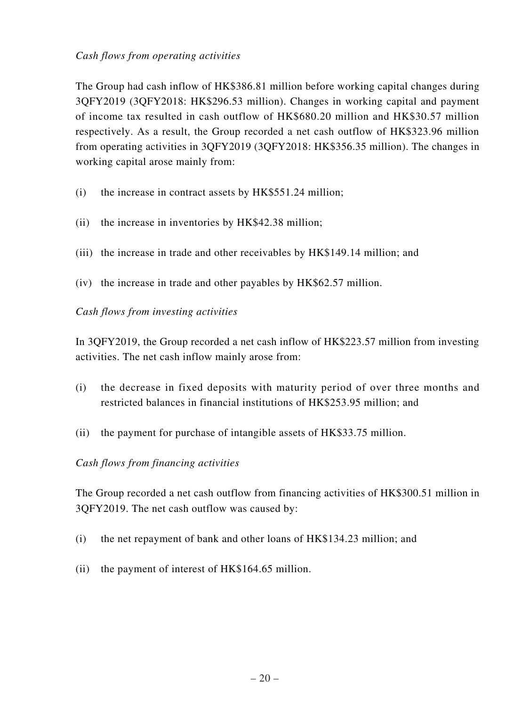### *Cash flows from operating activities*

The Group had cash inflow of HK\$386.81 million before working capital changes during 3QFY2019 (3QFY2018: HK\$296.53 million). Changes in working capital and payment of income tax resulted in cash outflow of HK\$680.20 million and HK\$30.57 million respectively. As a result, the Group recorded a net cash outflow of HK\$323.96 million from operating activities in 3QFY2019 (3QFY2018: HK\$356.35 million). The changes in working capital arose mainly from:

- (i) the increase in contract assets by HK\$551.24 million;
- (ii) the increase in inventories by HK\$42.38 million;
- (iii) the increase in trade and other receivables by HK\$149.14 million; and
- (iv) the increase in trade and other payables by HK\$62.57 million.

### *Cash flows from investing activities*

In 3QFY2019, the Group recorded a net cash inflow of HK\$223.57 million from investing activities. The net cash inflow mainly arose from:

- (i) the decrease in fixed deposits with maturity period of over three months and restricted balances in financial institutions of HK\$253.95 million; and
- (ii) the payment for purchase of intangible assets of HK\$33.75 million.

### *Cash flows from financing activities*

The Group recorded a net cash outflow from financing activities of HK\$300.51 million in 3QFY2019. The net cash outflow was caused by:

- (i) the net repayment of bank and other loans of HK\$134.23 million; and
- (ii) the payment of interest of HK\$164.65 million.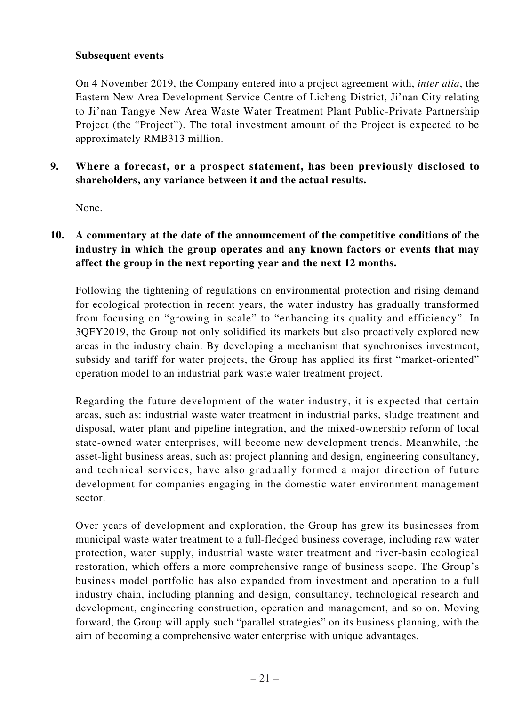### **Subsequent events**

On 4 November 2019, the Company entered into a project agreement with, *inter alia*, the Eastern New Area Development Service Centre of Licheng District, Ji'nan City relating to Ji'nan Tangye New Area Waste Water Treatment Plant Public-Private Partnership Project (the "Project"). The total investment amount of the Project is expected to be approximately RMB313 million.

**9. Where a forecast, or a prospect statement, has been previously disclosed to shareholders, any variance between it and the actual results.**

None.

**10. A commentary at the date of the announcement of the competitive conditions of the industry in which the group operates and any known factors or events that may affect the group in the next reporting year and the next 12 months.**

Following the tightening of regulations on environmental protection and rising demand for ecological protection in recent years, the water industry has gradually transformed from focusing on "growing in scale" to "enhancing its quality and efficiency". In 3QFY2019, the Group not only solidified its markets but also proactively explored new areas in the industry chain. By developing a mechanism that synchronises investment, subsidy and tariff for water projects, the Group has applied its first "market-oriented" operation model to an industrial park waste water treatment project.

Regarding the future development of the water industry, it is expected that certain areas, such as: industrial waste water treatment in industrial parks, sludge treatment and disposal, water plant and pipeline integration, and the mixed-ownership reform of local state-owned water enterprises, will become new development trends. Meanwhile, the asset-light business areas, such as: project planning and design, engineering consultancy, and technical services, have also gradually formed a major direction of future development for companies engaging in the domestic water environment management sector.

Over years of development and exploration, the Group has grew its businesses from municipal waste water treatment to a full-fledged business coverage, including raw water protection, water supply, industrial waste water treatment and river-basin ecological restoration, which offers a more comprehensive range of business scope. The Group's business model portfolio has also expanded from investment and operation to a full industry chain, including planning and design, consultancy, technological research and development, engineering construction, operation and management, and so on. Moving forward, the Group will apply such "parallel strategies" on its business planning, with the aim of becoming a comprehensive water enterprise with unique advantages.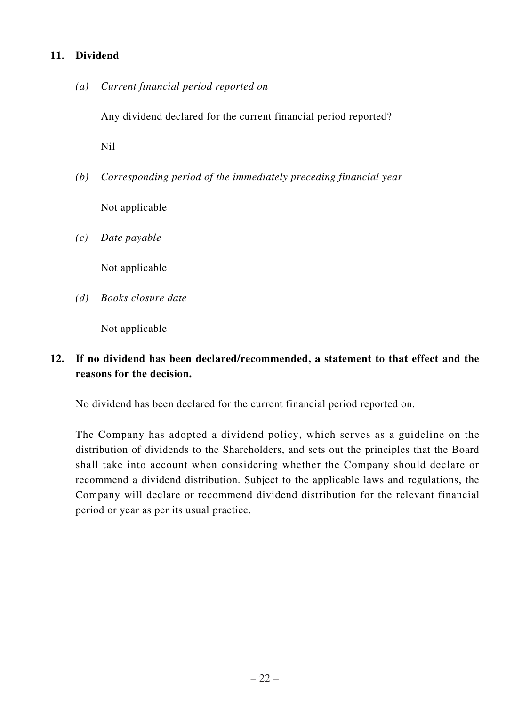### **11. Dividend**

*(a) Current financial period reported on*

Any dividend declared for the current financial period reported?

Nil

*(b) Corresponding period of the immediately preceding financial year*

Not applicable

*(c) Date payable*

Not applicable

*(d) Books closure date*

Not applicable

# **12. If no dividend has been declared/recommended, a statement to that effect and the reasons for the decision.**

No dividend has been declared for the current financial period reported on.

The Company has adopted a dividend policy, which serves as a guideline on the distribution of dividends to the Shareholders, and sets out the principles that the Board shall take into account when considering whether the Company should declare or recommend a dividend distribution. Subject to the applicable laws and regulations, the Company will declare or recommend dividend distribution for the relevant financial period or year as per its usual practice.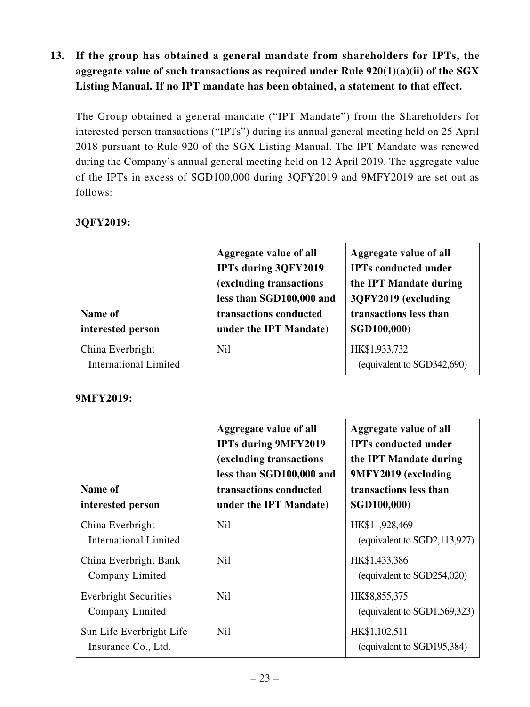**13. If the group has obtained a general mandate from shareholders for IPTs, the aggregate value of such transactions as required under Rule 920(1)(a)(ii) of the SGX Listing Manual. If no IPT mandate has been obtained, a statement to that effect.**

The Group obtained a general mandate ("IPT Mandate") from the Shareholders for interested person transactions ("IPTs") during its annual general meeting held on 25 April 2018 pursuant to Rule 920 of the SGX Listing Manual. The IPT Mandate was renewed during the Company's annual general meeting held on 12 April 2019. The aggregate value of the IPTs in excess of SGD100,000 during 3QFY2019 and 9MFY2019 are set out as follows:

| Name of<br>interested person                     | Aggregate value of all<br><b>IPTs during 3QFY2019</b><br>(excluding transactions<br>less than SGD100,000 and<br>transactions conducted<br>under the IPT Mandate) | Aggregate value of all<br><b>IPTs conducted under</b><br>the IPT Mandate during<br>3QFY2019 (excluding<br>transactions less than<br>SGD100,000) |
|--------------------------------------------------|------------------------------------------------------------------------------------------------------------------------------------------------------------------|-------------------------------------------------------------------------------------------------------------------------------------------------|
| China Everbright<br><b>International Limited</b> | <b>Nil</b>                                                                                                                                                       | HK\$1,933,732<br>(equivalent to SGD342,690)                                                                                                     |

# **3QFY2019:**

# **9MFY2019:**

| Name of<br>interested person                     | Aggregate value of all<br><b>IPTs during 9MFY2019</b><br>(excluding transactions<br>less than SGD100,000 and<br>transactions conducted<br>under the IPT Mandate) | Aggregate value of all<br><b>IPTs conducted under</b><br>the IPT Mandate during<br>9MFY2019 (excluding<br>transactions less than<br>SGD100,000) |
|--------------------------------------------------|------------------------------------------------------------------------------------------------------------------------------------------------------------------|-------------------------------------------------------------------------------------------------------------------------------------------------|
| China Everbright<br><b>International Limited</b> | <b>Nil</b>                                                                                                                                                       | HK\$11,928,469<br>(equivalent to $SGD2,113,927$ )                                                                                               |
| China Everbright Bank<br>Company Limited         | <b>Nil</b>                                                                                                                                                       | HK\$1,433,386<br>(equivalent to SGD254,020)                                                                                                     |
| <b>Everbright Securities</b><br>Company Limited  | <b>Nil</b>                                                                                                                                                       | HK\$8,855,375<br>(equivalent to SGD1,569,323)                                                                                                   |
| Sun Life Everbright Life<br>Insurance Co., Ltd.  | N <sub>il</sub>                                                                                                                                                  | HK\$1,102,511<br>(equivalent to SGD195,384)                                                                                                     |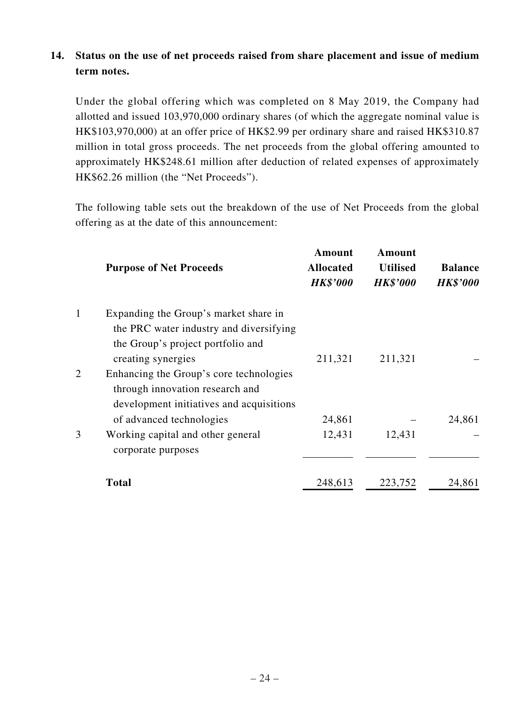# **14. Status on the use of net proceeds raised from share placement and issue of medium term notes.**

Under the global offering which was completed on 8 May 2019, the Company had allotted and issued 103,970,000 ordinary shares (of which the aggregate nominal value is HK\$103,970,000) at an offer price of HK\$2.99 per ordinary share and raised HK\$310.87 million in total gross proceeds. The net proceeds from the global offering amounted to approximately HK\$248.61 million after deduction of related expenses of approximately HK\$62.26 million (the "Net Proceeds").

The following table sets out the breakdown of the use of Net Proceeds from the global offering as at the date of this announcement:

|   | <b>Purpose of Net Proceeds</b>                                                                                                              | Amount<br><b>Allocated</b><br><b>HK\$'000</b> | Amount<br><b>Utilised</b><br><b>HK\$'000</b> | <b>Balance</b><br><b>HK\$'000</b> |
|---|---------------------------------------------------------------------------------------------------------------------------------------------|-----------------------------------------------|----------------------------------------------|-----------------------------------|
| 1 | Expanding the Group's market share in<br>the PRC water industry and diversifying<br>the Group's project portfolio and<br>creating synergies | 211,321                                       | 211,321                                      |                                   |
| 2 | Enhancing the Group's core technologies<br>through innovation research and<br>development initiatives and acquisitions                      |                                               |                                              |                                   |
|   | of advanced technologies                                                                                                                    | 24,861                                        |                                              | 24,861                            |
| 3 | Working capital and other general<br>corporate purposes                                                                                     | 12,431                                        | 12,431                                       |                                   |
|   | <b>Total</b>                                                                                                                                | 248,613                                       | 223,752                                      | 24,861                            |